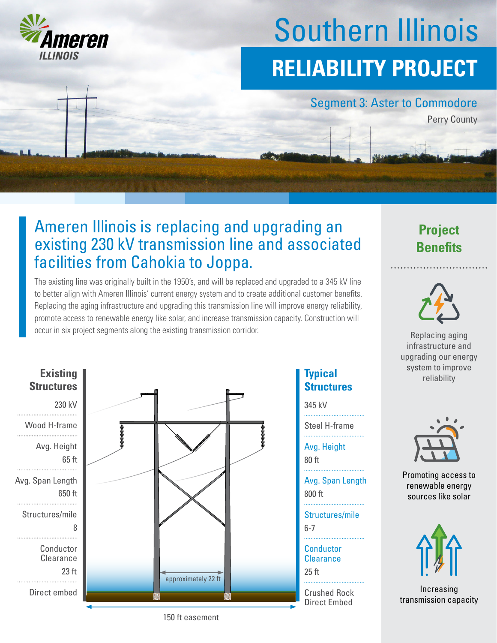

# Southern Illinois **RELIABILITY PROJECT**

#### Segment 3: Aster to Commodore

Perry County

### Ameren Illinois is replacing and upgrading an existing 230 kV transmission line and associated facilities from Cahokia to Joppa.

The existing line was originally built in the 1950's, and will be replaced and upgraded to a 345 kV line to better align with Ameren Illinois' current energy system and to create additional customer benefits. Replacing the aging infrastructure and upgrading this transmission line will improve energy reliability, promote access to renewable energy like solar, and increase transmission capacity. Construction will occur in six project segments along the existing transmission corridor. **Replacing aging** Replacing aging



## **Structures**

345 kV

Steel H-frame

Avg. Height

80 ft

800 ft Avg. Span Length

6-7 Structures/mile

25 ft **Conductor Clearance** 

Crushed Rock Direct Embed

### **Project Benefits**



infrastructure and upgrading our energy system to improve **Typical Typical Typical Typical Typical Typical Typical Typical Typical Typical Typical Typical Typical Typical Typical Typical Typical Typical Typical Typical Typical Typical T** 



Promoting access to renewable energy sources like solar



Increasing transmission capacity

150 ft easement